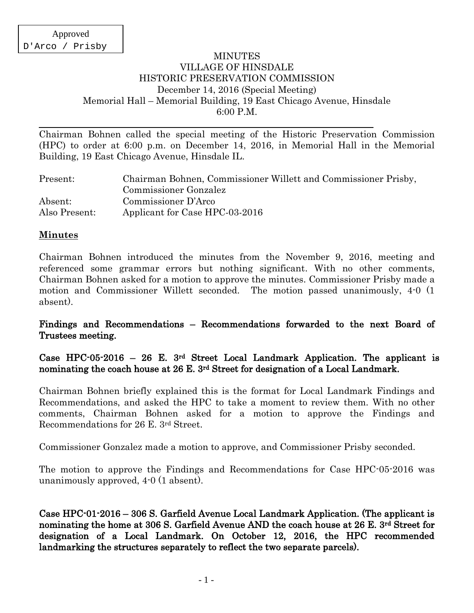### MINUTES VILLAGE OF HINSDALE HISTORIC PRESERVATION COMMISSION December 14, 2016 (Special Meeting) Memorial Hall – Memorial Building, 19 East Chicago Avenue, Hinsdale 6:00 P.M.

Chairman Bohnen called the special meeting of the Historic Preservation Commission (HPC) to order at 6:00 p.m. on December 14, 2016, in Memorial Hall in the Memorial Building, 19 East Chicago Avenue, Hinsdale IL.

| Present:      | Chairman Bohnen, Commissioner Willett and Commissioner Prisby, |
|---------------|----------------------------------------------------------------|
|               | Commissioner Gonzalez                                          |
| Absent:       | Commissioner D'Arco                                            |
| Also Present: | Applicant for Case HPC-03-2016                                 |

## **Minutes**

Chairman Bohnen introduced the minutes from the November 9, 2016, meeting and referenced some grammar errors but nothing significant. With no other comments, Chairman Bohnen asked for a motion to approve the minutes. Commissioner Prisby made a motion and Commissioner Willett seconded. The motion passed unanimously, 4-0 (1 absent).

## Findings and Recommendations – Recommendations forwarded to the next Board of Trustees meeting.

Case HPC-05-2016 – 26 E. 3rd Street Local Landmark Application. The applicant is nominating the coach house at 26 E. 3rd Street for designation of a Local Landmark.

Chairman Bohnen briefly explained this is the format for Local Landmark Findings and Recommendations, and asked the HPC to take a moment to review them. With no other comments, Chairman Bohnen asked for a motion to approve the Findings and Recommendations for 26 E. 3rd Street.

Commissioner Gonzalez made a motion to approve, and Commissioner Prisby seconded.

The motion to approve the Findings and Recommendations for Case HPC-05-2016 was unanimously approved, 4-0 (1 absent).

Case HPC-01-2016 – 306 S. Garfield Avenue Local Landmark Application. (The applicant is nominating the home at 306 S. Garfield Avenue AND the coach house at 26 E. 3rd Street for designation of a Local Landmark. On October 12, 2016, the HPC recommended landmarking the structures separately to reflect the two separate parcels).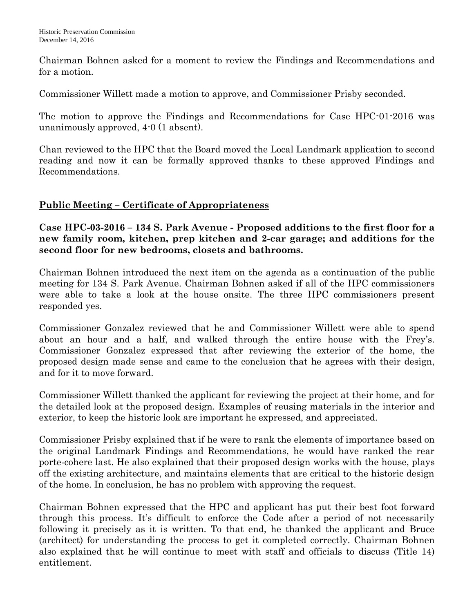Chairman Bohnen asked for a moment to review the Findings and Recommendations and for a motion.

Commissioner Willett made a motion to approve, and Commissioner Prisby seconded.

The motion to approve the Findings and Recommendations for Case HPC-01-2016 was unanimously approved, 4-0 (1 absent).

Chan reviewed to the HPC that the Board moved the Local Landmark application to second reading and now it can be formally approved thanks to these approved Findings and Recommendations.

# **Public Meeting – Certificate of Appropriateness**

**Case HPC-03-2016 – 134 S. Park Avenue - Proposed additions to the first floor for a new family room, kitchen, prep kitchen and 2-car garage; and additions for the second floor for new bedrooms, closets and bathrooms.**

Chairman Bohnen introduced the next item on the agenda as a continuation of the public meeting for 134 S. Park Avenue. Chairman Bohnen asked if all of the HPC commissioners were able to take a look at the house onsite. The three HPC commissioners present responded yes.

Commissioner Gonzalez reviewed that he and Commissioner Willett were able to spend about an hour and a half, and walked through the entire house with the Frey's. Commissioner Gonzalez expressed that after reviewing the exterior of the home, the proposed design made sense and came to the conclusion that he agrees with their design, and for it to move forward.

Commissioner Willett thanked the applicant for reviewing the project at their home, and for the detailed look at the proposed design. Examples of reusing materials in the interior and exterior, to keep the historic look are important he expressed, and appreciated.

Commissioner Prisby explained that if he were to rank the elements of importance based on the original Landmark Findings and Recommendations, he would have ranked the rear porte-cohere last. He also explained that their proposed design works with the house, plays off the existing architecture, and maintains elements that are critical to the historic design of the home. In conclusion, he has no problem with approving the request.

Chairman Bohnen expressed that the HPC and applicant has put their best foot forward through this process. It's difficult to enforce the Code after a period of not necessarily following it precisely as it is written. To that end, he thanked the applicant and Bruce (architect) for understanding the process to get it completed correctly. Chairman Bohnen also explained that he will continue to meet with staff and officials to discuss (Title 14) entitlement.